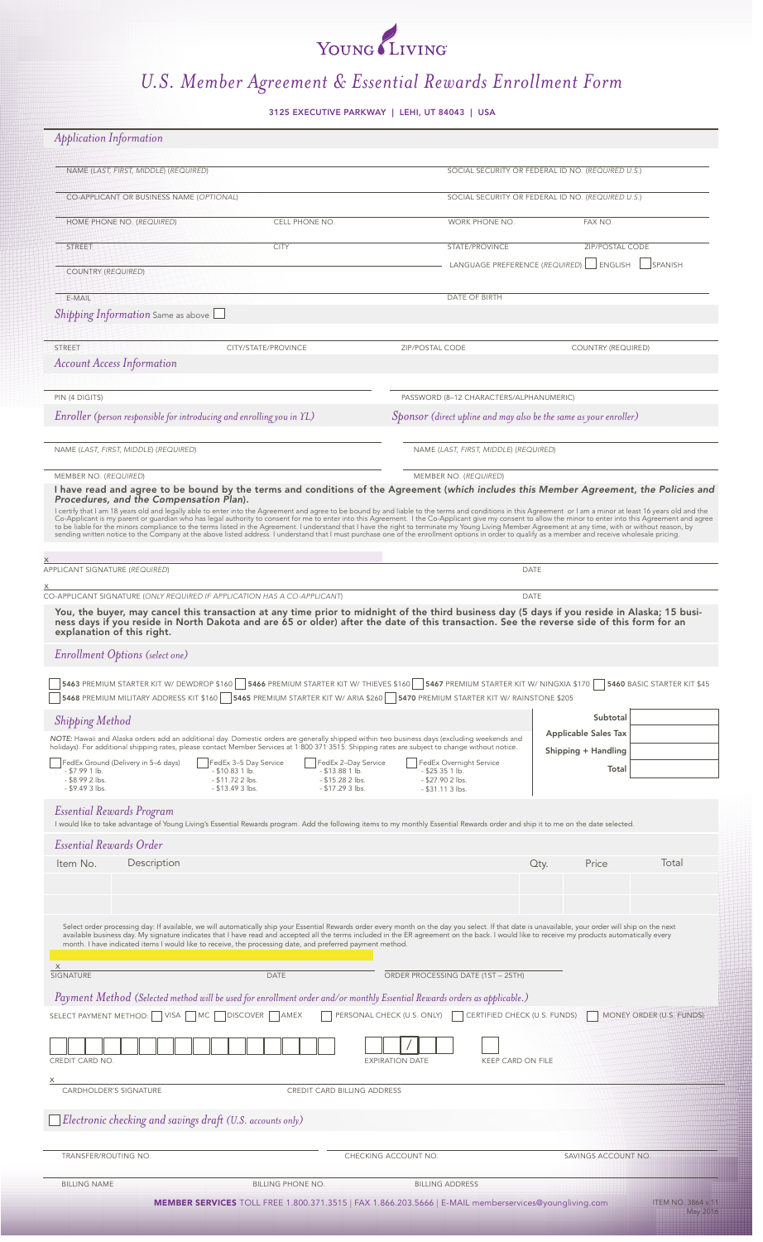# YOUNG LIVING

## *U.S. Member Agreement & Essential Rewards Enrollment Form*

3125 EXECUTIVE PARKWAY | LEHI, UT 84043 | USA

| <b>Application Information</b>                                                                                                                                                                                                                                                                                                                                                                                                                                                                                                                                                                                                                                                                                                                                                                                                                                                                                                                                                                                                                                                   |                                                                                                                                                                                                            |                                                                                                                                                                                                                                                                                                  |                                                   |                                                                                          |                                                    |      |                    |       |  |
|----------------------------------------------------------------------------------------------------------------------------------------------------------------------------------------------------------------------------------------------------------------------------------------------------------------------------------------------------------------------------------------------------------------------------------------------------------------------------------------------------------------------------------------------------------------------------------------------------------------------------------------------------------------------------------------------------------------------------------------------------------------------------------------------------------------------------------------------------------------------------------------------------------------------------------------------------------------------------------------------------------------------------------------------------------------------------------|------------------------------------------------------------------------------------------------------------------------------------------------------------------------------------------------------------|--------------------------------------------------------------------------------------------------------------------------------------------------------------------------------------------------------------------------------------------------------------------------------------------------|---------------------------------------------------|------------------------------------------------------------------------------------------|----------------------------------------------------|------|--------------------|-------|--|
| NAME (LAST, FIRST, MIDDLE) (REQUIRED)                                                                                                                                                                                                                                                                                                                                                                                                                                                                                                                                                                                                                                                                                                                                                                                                                                                                                                                                                                                                                                            |                                                                                                                                                                                                            |                                                                                                                                                                                                                                                                                                  |                                                   |                                                                                          | SOCIAL SECURITY OR FEDERAL ID NO. (REQUIRED U.S.)  |      |                    |       |  |
|                                                                                                                                                                                                                                                                                                                                                                                                                                                                                                                                                                                                                                                                                                                                                                                                                                                                                                                                                                                                                                                                                  | CO-APPLICANT OR BUSINESS NAME (OPTIONAL)                                                                                                                                                                   |                                                                                                                                                                                                                                                                                                  | SOCIAL SECURITY OR FEDERAL ID NO. (REQUIRED U.S.) |                                                                                          |                                                    |      |                    |       |  |
|                                                                                                                                                                                                                                                                                                                                                                                                                                                                                                                                                                                                                                                                                                                                                                                                                                                                                                                                                                                                                                                                                  | CELL PHONE NO.<br>HOME PHONE NO. (REQUIRED)                                                                                                                                                                |                                                                                                                                                                                                                                                                                                  |                                                   |                                                                                          | WORK PHONE NO.                                     |      | FAX NO.            |       |  |
| STREET                                                                                                                                                                                                                                                                                                                                                                                                                                                                                                                                                                                                                                                                                                                                                                                                                                                                                                                                                                                                                                                                           |                                                                                                                                                                                                            | <b>CITY</b>                                                                                                                                                                                                                                                                                      |                                                   |                                                                                          | STATE/PROVINCE                                     |      | ZIP/POSTAL CODE    |       |  |
| <b>COUNTRY (REQUIRED)</b>                                                                                                                                                                                                                                                                                                                                                                                                                                                                                                                                                                                                                                                                                                                                                                                                                                                                                                                                                                                                                                                        |                                                                                                                                                                                                            |                                                                                                                                                                                                                                                                                                  |                                                   | LANGUAGE PREFERENCE (REQUIRED)   ENGLISH<br><b>SPANISH</b>                               |                                                    |      |                    |       |  |
| E-MAIL<br>Shipping Information Same as above $\Box$                                                                                                                                                                                                                                                                                                                                                                                                                                                                                                                                                                                                                                                                                                                                                                                                                                                                                                                                                                                                                              |                                                                                                                                                                                                            |                                                                                                                                                                                                                                                                                                  |                                                   |                                                                                          | DATE OF BIRTH                                      |      |                    |       |  |
|                                                                                                                                                                                                                                                                                                                                                                                                                                                                                                                                                                                                                                                                                                                                                                                                                                                                                                                                                                                                                                                                                  |                                                                                                                                                                                                            |                                                                                                                                                                                                                                                                                                  |                                                   |                                                                                          |                                                    |      |                    |       |  |
| <b>STREET</b>                                                                                                                                                                                                                                                                                                                                                                                                                                                                                                                                                                                                                                                                                                                                                                                                                                                                                                                                                                                                                                                                    | <b>Account Access Information</b>                                                                                                                                                                          | CITY/STATE/PROVINCE                                                                                                                                                                                                                                                                              |                                                   | ZIP/POSTAL CODE                                                                          |                                                    |      | COUNTRY (REQUIRED) |       |  |
|                                                                                                                                                                                                                                                                                                                                                                                                                                                                                                                                                                                                                                                                                                                                                                                                                                                                                                                                                                                                                                                                                  |                                                                                                                                                                                                            |                                                                                                                                                                                                                                                                                                  |                                                   |                                                                                          |                                                    |      |                    |       |  |
| PIN (4 DIGITS)                                                                                                                                                                                                                                                                                                                                                                                                                                                                                                                                                                                                                                                                                                                                                                                                                                                                                                                                                                                                                                                                   |                                                                                                                                                                                                            |                                                                                                                                                                                                                                                                                                  |                                                   | PASSWORD (8-12 CHARACTERS/ALPHANUMERIC)                                                  |                                                    |      |                    |       |  |
| Enroller (person responsible for introducing and enrolling you in YL)<br>Sponsor (direct upline and may also be the same as your enroller)                                                                                                                                                                                                                                                                                                                                                                                                                                                                                                                                                                                                                                                                                                                                                                                                                                                                                                                                       |                                                                                                                                                                                                            |                                                                                                                                                                                                                                                                                                  |                                                   |                                                                                          |                                                    |      |                    |       |  |
| NAME (LAST, FIRST, MIDDLE) (REQUIRED)                                                                                                                                                                                                                                                                                                                                                                                                                                                                                                                                                                                                                                                                                                                                                                                                                                                                                                                                                                                                                                            |                                                                                                                                                                                                            |                                                                                                                                                                                                                                                                                                  |                                                   |                                                                                          | NAME (LAST, FIRST, MIDDLE) (REQUIRED)              |      |                    |       |  |
| MEMBER NO. (REQUIRED)<br>MEMBER NO. (REQUIRED)<br>I have read and agree to be bound by the terms and conditions of the Agreement (which includes this Member Agreement, the Policies and<br>Procedures, and the Compensation Plan).<br>I certify that I am 18 years old and legally able to enter into the Agreement and agree to be bound by and liable to the terms and conditions in this Agreement or I am a minor at least 16 years old and the<br>Co-Applicant is my parent or guardian who has legal authority to consent for me to enter into this Agreement. I the Co-Applicant give my consent to allow the minor to enter into this Agreement and agree<br>to be liable for the minors compliance to the terms listed in the Agreement. I understand that I have the right to terminate my Young Living Member Agreement at any time, with or without reason, by<br>sending written notice to the Company at the above listed address. I understand that I must purchase one of the enrollment options in order to qualify as a member and receive wholesale pricing. |                                                                                                                                                                                                            |                                                                                                                                                                                                                                                                                                  |                                                   |                                                                                          |                                                    |      |                    |       |  |
| APPLICANT SIGNATURE (REQUIRED)                                                                                                                                                                                                                                                                                                                                                                                                                                                                                                                                                                                                                                                                                                                                                                                                                                                                                                                                                                                                                                                   |                                                                                                                                                                                                            |                                                                                                                                                                                                                                                                                                  |                                                   |                                                                                          |                                                    | DATE |                    |       |  |
| CO-APPLICANT SIGNATURE (ONLY REQUIRED IF APPLICATION HAS A CO-APPLICANT)<br>DATE                                                                                                                                                                                                                                                                                                                                                                                                                                                                                                                                                                                                                                                                                                                                                                                                                                                                                                                                                                                                 |                                                                                                                                                                                                            |                                                                                                                                                                                                                                                                                                  |                                                   |                                                                                          |                                                    |      |                    |       |  |
| You, the buyer, may cancel this transaction at any time prior to midnight of the third business day (5 days if you reside in Alaska; 15 busi-<br>ness days if you reside in North Dakota and are 65 or older) after the date of t<br>explanation of this right.                                                                                                                                                                                                                                                                                                                                                                                                                                                                                                                                                                                                                                                                                                                                                                                                                  |                                                                                                                                                                                                            |                                                                                                                                                                                                                                                                                                  |                                                   |                                                                                          |                                                    |      |                    |       |  |
|                                                                                                                                                                                                                                                                                                                                                                                                                                                                                                                                                                                                                                                                                                                                                                                                                                                                                                                                                                                                                                                                                  | Enrollment Options (select one)                                                                                                                                                                            |                                                                                                                                                                                                                                                                                                  |                                                   |                                                                                          |                                                    |      |                    |       |  |
| 5463 PREMIUM STARTER KIT W/ DEWDROP \$160   5466 PREMIUM STARTER KIT W/ THIEVES \$160   5467 PREMIUM STARTER KIT W/ NINGXIA \$170<br>5460 BASIC STARTER KIT \$45<br>5468 PREMIUM MILITARY ADDRESS KIT \$160 5465 PREMIUM STARTER KIT W/ ARIA \$260 5470 PREMIUM STARTER KIT W/ RAINSTONE \$205                                                                                                                                                                                                                                                                                                                                                                                                                                                                                                                                                                                                                                                                                                                                                                                   |                                                                                                                                                                                                            |                                                                                                                                                                                                                                                                                                  |                                                   |                                                                                          |                                                    |      |                    |       |  |
| <b>Shipping Method</b>                                                                                                                                                                                                                                                                                                                                                                                                                                                                                                                                                                                                                                                                                                                                                                                                                                                                                                                                                                                                                                                           |                                                                                                                                                                                                            |                                                                                                                                                                                                                                                                                                  |                                                   |                                                                                          |                                                    |      | Subtotal           |       |  |
|                                                                                                                                                                                                                                                                                                                                                                                                                                                                                                                                                                                                                                                                                                                                                                                                                                                                                                                                                                                                                                                                                  |                                                                                                                                                                                                            | NOTE: Hawaii and Alaska orders add an additional day. Domestic orders are generally shipped within two business days (excluding weekends and<br>holidays). For additional shipping rates, please contact Member Services at 1.800.371.3515. Shipping rates are subject to change without notice. |                                                   |                                                                                          | <b>Applicable Sales Tax</b><br>Shipping + Handling |      |                    |       |  |
| $- $7.991$ lb.<br>$-$ \$8.99 2 lbs.<br>$-$ \$9.49 3 lbs.                                                                                                                                                                                                                                                                                                                                                                                                                                                                                                                                                                                                                                                                                                                                                                                                                                                                                                                                                                                                                         | FedEx Ground (Delivery in 5-6 days)<br>FedEx 3-5 Day Service<br>FedEx 2-Day Service<br>$- $13.881$ lb.<br>$- $10.83 1 lb.$<br>- \$11.72 2 lbs.<br>$- $15.282$ lbs.<br>$- $13.493$ lbs.<br>$- $17.293$ lbs. |                                                                                                                                                                                                                                                                                                  |                                                   | FedEx Overnight Service<br>$-$ \$25.35 1 lb.<br>$-$ \$27.90 2 lbs.<br>$-$ \$31.11 3 lbs. | Total                                              |      |                    |       |  |
|                                                                                                                                                                                                                                                                                                                                                                                                                                                                                                                                                                                                                                                                                                                                                                                                                                                                                                                                                                                                                                                                                  |                                                                                                                                                                                                            |                                                                                                                                                                                                                                                                                                  |                                                   |                                                                                          |                                                    |      |                    |       |  |
| <b>Essential Rewards Program</b><br>I would like to take advantage of Young Living's Essential Rewards program. Add the following items to my monthly Essential Rewards order and ship it to me on the date selected.                                                                                                                                                                                                                                                                                                                                                                                                                                                                                                                                                                                                                                                                                                                                                                                                                                                            |                                                                                                                                                                                                            |                                                                                                                                                                                                                                                                                                  |                                                   |                                                                                          |                                                    |      |                    |       |  |
| <b>Essential Rewards Order</b><br>Item No.                                                                                                                                                                                                                                                                                                                                                                                                                                                                                                                                                                                                                                                                                                                                                                                                                                                                                                                                                                                                                                       | Description                                                                                                                                                                                                |                                                                                                                                                                                                                                                                                                  |                                                   |                                                                                          |                                                    |      | Price              | Total |  |
|                                                                                                                                                                                                                                                                                                                                                                                                                                                                                                                                                                                                                                                                                                                                                                                                                                                                                                                                                                                                                                                                                  |                                                                                                                                                                                                            |                                                                                                                                                                                                                                                                                                  |                                                   |                                                                                          |                                                    | Qty. |                    |       |  |
|                                                                                                                                                                                                                                                                                                                                                                                                                                                                                                                                                                                                                                                                                                                                                                                                                                                                                                                                                                                                                                                                                  |                                                                                                                                                                                                            |                                                                                                                                                                                                                                                                                                  |                                                   |                                                                                          |                                                    |      |                    |       |  |
| Select order processing day: If available, we will automatically ship your Essential Rewards order every month on the day you select. If that date is unavailable, your order will ship on the next<br>available business day. My signature indicates that I have read and accepted all the terms included in the ER agreement on the back. I would like to receive my products automatically every<br>month. I have indicated items I would like to receive, the processing date, and preferred payment method.                                                                                                                                                                                                                                                                                                                                                                                                                                                                                                                                                                 |                                                                                                                                                                                                            |                                                                                                                                                                                                                                                                                                  |                                                   |                                                                                          |                                                    |      |                    |       |  |
| $\mathsf{X}$<br>SIGNATURE                                                                                                                                                                                                                                                                                                                                                                                                                                                                                                                                                                                                                                                                                                                                                                                                                                                                                                                                                                                                                                                        |                                                                                                                                                                                                            | DATE                                                                                                                                                                                                                                                                                             |                                                   |                                                                                          | ORDER PROCESSING DATE (1ST - 25TH)                 |      |                    |       |  |
| Payment Method (Selected method will be used for enrollment order and/or monthly Essential Rewards orders as applicable.)<br>PERSONAL CHECK (U.S. ONLY)<br>CERTIFIED CHECK (U.S. FUNDS)<br>SELECT PAYMENT METHOD:   VISA<br>MC<br><b>DISCOVER</b><br><b>AMEX</b><br>MONEY ORDER (U.S. FUNDS)                                                                                                                                                                                                                                                                                                                                                                                                                                                                                                                                                                                                                                                                                                                                                                                     |                                                                                                                                                                                                            |                                                                                                                                                                                                                                                                                                  |                                                   |                                                                                          |                                                    |      |                    |       |  |
| CREDIT CARD NO.<br><b>EXPIRATION DATE</b><br>KEEP CARD ON FILE                                                                                                                                                                                                                                                                                                                                                                                                                                                                                                                                                                                                                                                                                                                                                                                                                                                                                                                                                                                                                   |                                                                                                                                                                                                            |                                                                                                                                                                                                                                                                                                  |                                                   |                                                                                          |                                                    |      |                    |       |  |
| CARDHOLDER'S SIGNATURE<br>CREDIT CARD BILLING ADDRESS                                                                                                                                                                                                                                                                                                                                                                                                                                                                                                                                                                                                                                                                                                                                                                                                                                                                                                                                                                                                                            |                                                                                                                                                                                                            |                                                                                                                                                                                                                                                                                                  |                                                   |                                                                                          |                                                    |      |                    |       |  |
| Electronic checking and savings draft (U.S. accounts only)                                                                                                                                                                                                                                                                                                                                                                                                                                                                                                                                                                                                                                                                                                                                                                                                                                                                                                                                                                                                                       |                                                                                                                                                                                                            |                                                                                                                                                                                                                                                                                                  |                                                   |                                                                                          |                                                    |      |                    |       |  |
|                                                                                                                                                                                                                                                                                                                                                                                                                                                                                                                                                                                                                                                                                                                                                                                                                                                                                                                                                                                                                                                                                  | TRANSFER/ROUTING NO.                                                                                                                                                                                       |                                                                                                                                                                                                                                                                                                  |                                                   | CHECKING ACCOUNT NO.                                                                     | SAVINGS ACCOUNT NO.                                |      |                    |       |  |
| <b>BILLING NAME</b>                                                                                                                                                                                                                                                                                                                                                                                                                                                                                                                                                                                                                                                                                                                                                                                                                                                                                                                                                                                                                                                              |                                                                                                                                                                                                            | <b>BILLING PHONE NO.</b>                                                                                                                                                                                                                                                                         |                                                   | <b>BILLING ADDRESS</b>                                                                   |                                                    |      |                    |       |  |
| MEMBER SERVICES TOLL FREE 1.800.371.3515   FAX 1.866.203.5666   E-MAIL memberservices@youngliving.com<br>ITEM NO. 3864 v.11<br>May 2016                                                                                                                                                                                                                                                                                                                                                                                                                                                                                                                                                                                                                                                                                                                                                                                                                                                                                                                                          |                                                                                                                                                                                                            |                                                                                                                                                                                                                                                                                                  |                                                   |                                                                                          |                                                    |      |                    |       |  |